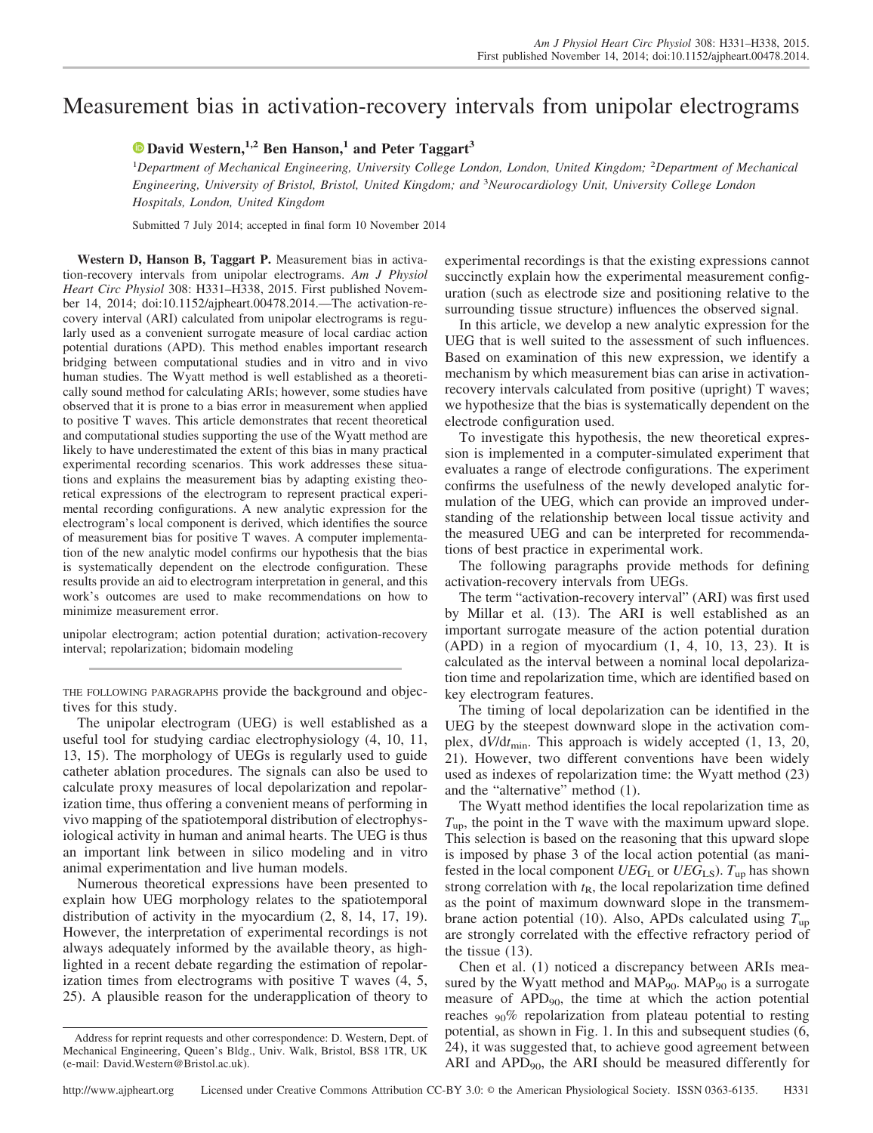# Measurement bias in activation-recovery intervals from unipolar electrograms

## **X [David Western,](http://orcid.org/0000-0002-4303-7423)1,2 Ben Hanson,<sup>1</sup> and Peter Taggart<sup>3</sup>**

1 *Department of Mechanical Engineering, University College London, London, United Kingdom;* <sup>2</sup> *Department of Mechanical Engineering, University of Bristol, Bristol, United Kingdom; and* <sup>3</sup> *Neurocardiology Unit, University College London Hospitals, London, United Kingdom*

Submitted 7 July 2014; accepted in final form 10 November 2014

**Western D, Hanson B, Taggart P.** Measurement bias in activation-recovery intervals from unipolar electrograms. *Am J Physiol Heart Circ Physiol* 308: H331–H338, 2015. First published November 14, 2014; doi:10.1152/ajpheart.00478.2014.—The activation-recovery interval (ARI) calculated from unipolar electrograms is regularly used as a convenient surrogate measure of local cardiac action potential durations (APD). This method enables important research bridging between computational studies and in vitro and in vivo human studies. The Wyatt method is well established as a theoretically sound method for calculating ARIs; however, some studies have observed that it is prone to a bias error in measurement when applied to positive T waves. This article demonstrates that recent theoretical and computational studies supporting the use of the Wyatt method are likely to have underestimated the extent of this bias in many practical experimental recording scenarios. This work addresses these situations and explains the measurement bias by adapting existing theoretical expressions of the electrogram to represent practical experimental recording configurations. A new analytic expression for the electrogram's local component is derived, which identifies the source of measurement bias for positive T waves. A computer implementation of the new analytic model confirms our hypothesis that the bias is systematically dependent on the electrode configuration. These results provide an aid to electrogram interpretation in general, and this work's outcomes are used to make recommendations on how to minimize measurement error.

unipolar electrogram; action potential duration; activation-recovery interval; repolarization; bidomain modeling

THE FOLLOWING PARAGRAPHS provide the background and objectives for this study.

The unipolar electrogram (UEG) is well established as a useful tool for studying cardiac electrophysiology (4, 10, 11, 13, 15). The morphology of UEGs is regularly used to guide catheter ablation procedures. The signals can also be used to calculate proxy measures of local depolarization and repolarization time, thus offering a convenient means of performing in vivo mapping of the spatiotemporal distribution of electrophysiological activity in human and animal hearts. The UEG is thus an important link between in silico modeling and in vitro animal experimentation and live human models.

Numerous theoretical expressions have been presented to explain how UEG morphology relates to the spatiotemporal distribution of activity in the myocardium (2, 8, 14, 17, 19). However, the interpretation of experimental recordings is not always adequately informed by the available theory, as highlighted in a recent debate regarding the estimation of repolarization times from electrograms with positive T waves (4, 5, 25). A plausible reason for the underapplication of theory to

experimental recordings is that the existing expressions cannot succinctly explain how the experimental measurement configuration (such as electrode size and positioning relative to the surrounding tissue structure) influences the observed signal.

In this article, we develop a new analytic expression for the UEG that is well suited to the assessment of such influences. Based on examination of this new expression, we identify a mechanism by which measurement bias can arise in activationrecovery intervals calculated from positive (upright) T waves; we hypothesize that the bias is systematically dependent on the electrode configuration used.

To investigate this hypothesis, the new theoretical expression is implemented in a computer-simulated experiment that evaluates a range of electrode configurations. The experiment confirms the usefulness of the newly developed analytic formulation of the UEG, which can provide an improved understanding of the relationship between local tissue activity and the measured UEG and can be interpreted for recommendations of best practice in experimental work.

The following paragraphs provide methods for defining activation-recovery intervals from UEGs.

The term "activation-recovery interval" (ARI) was first used by Millar et al. (13). The ARI is well established as an important surrogate measure of the action potential duration (APD) in a region of myocardium (1, 4, 10, 13, 23). It is calculated as the interval between a nominal local depolarization time and repolarization time, which are identified based on key electrogram features.

The timing of local depolarization can be identified in the UEG by the steepest downward slope in the activation complex, d*V*/d*t*min. This approach is widely accepted (1, 13, 20, 21). However, two different conventions have been widely used as indexes of repolarization time: the Wyatt method (23) and the "alternative" method (1).

The Wyatt method identifies the local repolarization time as  $T_{\text{up}}$ , the point in the T wave with the maximum upward slope. This selection is based on the reasoning that this upward slope is imposed by phase 3 of the local action potential (as manifested in the local component  $UEG<sub>L</sub>$  or  $UEG<sub>L</sub>S$ ).  $T<sub>up</sub>$  has shown strong correlation with  $t_{\rm R}$ , the local repolarization time defined as the point of maximum downward slope in the transmembrane action potential (10). Also, APDs calculated using *T*up are strongly correlated with the effective refractory period of the tissue (13).

Chen et al. (1) noticed a discrepancy between ARIs measured by the Wyatt method and  $MAP_{90}$ .  $MAP_{90}$  is a surrogate measure of APD90, the time at which the action potential reaches  $90\%$  repolarization from plateau potential to resting potential, as shown in Fig. 1. In this and subsequent studies (6, 24), it was suggested that, to achieve good agreement between ARI and APD<sub>90</sub>, the ARI should be measured differently for

Address for reprint requests and other correspondence: D. Western, Dept. of Mechanical Engineering, Queen's Bldg., Univ. Walk, Bristol, BS8 1TR, UK (e-mail: [David.Western@Bristol.ac.uk\)](mailto:David.Western@Bristol.ac.uk).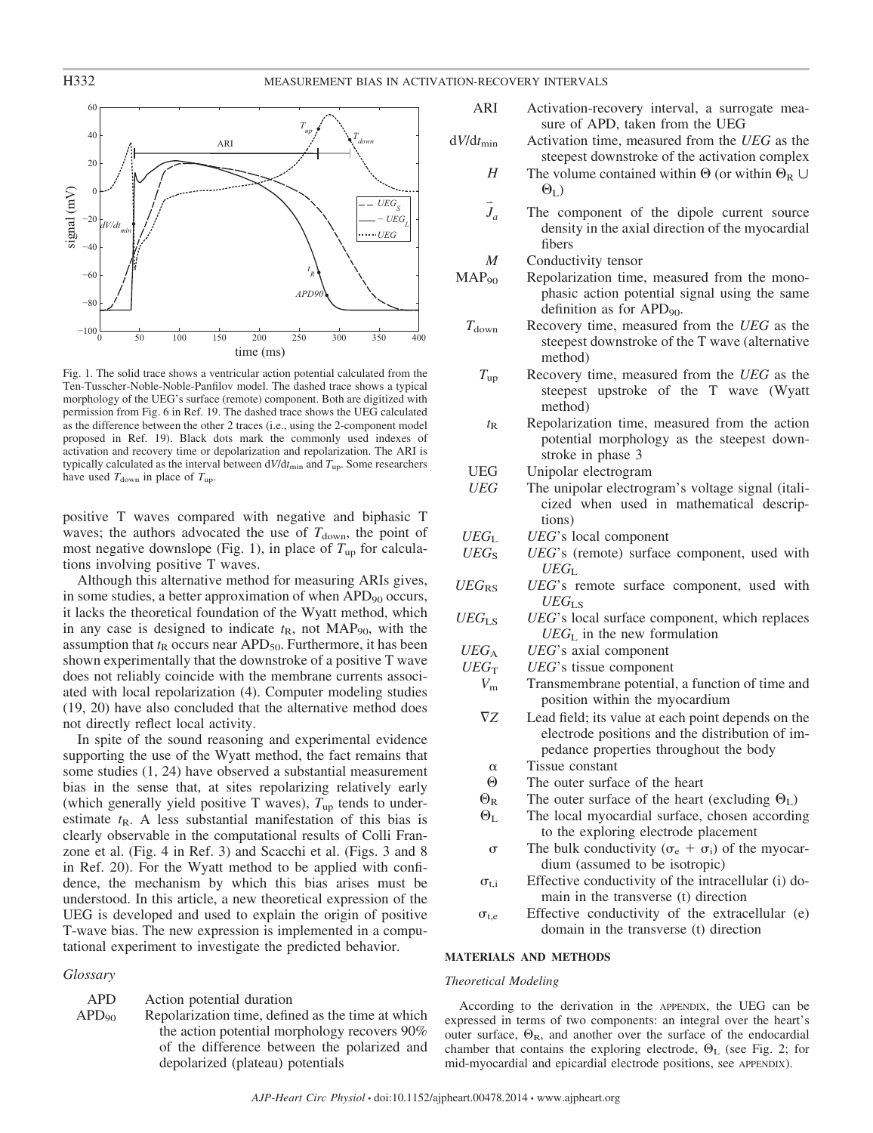

Fig. 1. The solid trace shows a ventricular action potential calculated from the Ten-Tusscher-Noble-Noble-Panfilov model. The dashed trace shows a typical morphology of the UEG's surface (remote) component. Both are digitized with permission from Fig. 6 in Ref. 19. The dashed trace shows the UEG calculated as the difference between the other 2 traces (i.e., using the 2-component model proposed in Ref. 19). Black dots mark the commonly used indexes of activation and recovery time or depolarization and repolarization. The ARI is typically calculated as the interval between d*V*/d*t*min and *T*up. Some researchers have used  $T_{\text{down}}$  in place of  $T_{\text{up}}$ .

positive T waves compared with negative and biphasic T waves; the authors advocated the use of  $T_{down}$ , the point of most negative downslope (Fig. 1), in place of  $T_{up}$  for calculations involving positive T waves.

Although this alternative method for measuring ARIs gives, in some studies, a better approximation of when APD<sub>90</sub> occurs, it lacks the theoretical foundation of the Wyatt method, which in any case is designed to indicate  $t<sub>R</sub>$ , not MAP<sub>90</sub>, with the assumption that  $t<sub>R</sub>$  occurs near APD<sub>50</sub>. Furthermore, it has been shown experimentally that the downstroke of a positive T wave does not reliably coincide with the membrane currents associated with local repolarization (4). Computer modeling studies (19, 20) have also concluded that the alternative method does not directly reflect local activity.

In spite of the sound reasoning and experimental evidence supporting the use of the Wyatt method, the fact remains that some studies (1, 24) have observed a substantial measurement bias in the sense that, at sites repolarizing relatively early (which generally yield positive T waves),  $T_{up}$  tends to underestimate  $t<sub>R</sub>$ . A less substantial manifestation of this bias is clearly observable in the computational results of Colli Franzone et al. (Fig. 4 in Ref. 3) and Scacchi et al. (Figs. 3 and 8 in Ref. 20). For the Wyatt method to be applied with confidence, the mechanism by which this bias arises must be understood. In this article, a new theoretical expression of the UEG is developed and used to explain the origin of positive T-wave bias. The new expression is implemented in a computational experiment to investigate the predicted behavior.

#### *Glossary*

APD Action potential duration  $APD<sub>90</sub>$  Repolarization time, defined as the time at which the action potential morphology recovers 90% of the difference between the polarized and

depolarized (plateau) potentials

- ARI Activation-recovery interval, a surrogate measure of APD, taken from the UEG
- d*V*/d*t*min Activation time, measured from the *UEG* as the steepest downstroke of the activation complex
	- *H* The volume contained within  $\Theta$  (or within  $\Theta_R \cup$  $\Theta_{\text{L}})$
	- *J* The component of the dipole current source density in the axial direction of the myocardial fibers

*M* Conductivity tensor

- $MAP_{90}$  Repolarization time, measured from the monophasic action potential signal using the same definition as for  $APD<sub>90</sub>$ .
	- *T*<sub>down</sub> Recovery time, measured from the *UEG* as the steepest downstroke of the T wave (alternative method)
		- *T*up Recovery time, measured from the *UEG* as the steepest upstroke of the T wave (Wyatt method)
		- $t_{R}$  Repolarization time, measured from the action potential morphology as the steepest downstroke in phase 3
	- UEG Unipolar electrogram
	- *UEG* The unipolar electrogram's voltage signal (italicized when used in mathematical descriptions)
- *UEG*<sup>L</sup> *UEG*'s local component
- UEG<sub>S</sub> UEG's (remote) surface component, used with *UEG*<sup>L</sup>
- UEG<sub>RS</sub> UEG's remote surface component, used with *UEG*LS
- $UEG<sub>L</sub>S$  *UEG*'s local surface component, which replaces *UEG*<sup>L</sup> in the new formulation
- *UEG*<sup>A</sup> *UEG*'s axial component
- $UEG<sub>T</sub>$  *UEG*'s tissue component
	- *V*<sup>m</sup> Transmembrane potential, a function of time and position within the myocardium
	- $\nabla Z$ Lead field; its value at each point depends on the electrode positions and the distribution of impedance properties throughout the body
	- $\alpha$  Tissue constant
	- $\Theta$ The outer surface of the heart
	- $\Theta_{\rm R}$ R The outer surface of the heart (excluding  $\Theta_{\text{L}}$ )
	- $\Theta_{\mathrm{L}}$ The local myocardial surface, chosen according to the exploring electrode placement
	- $\sigma$  The bulk conductivity ( $\sigma_e + \sigma_i$ ) of the myocardium (assumed to be isotropic)
	- $\sigma_{t,i}$  Effective conductivity of the intracellular (i) domain in the transverse (t) direction
	- $\sigma_{t,e}$  Effective conductivity of the extracellular (e) domain in the transverse (t) direction

#### **MATERIALS AND METHODS**

#### *Theoretical Modeling*

According to the derivation in the APPENDIX, the UEG can be expressed in terms of two components: an integral over the heart's outer surface,  $\Theta_{\rm R}$ , and another over the surface of the endocardial chamber that contains the exploring electrode,  $\Theta_{\text{L}}$  (see Fig. 2; for mid-myocardial and epicardial electrode positions, see APPENDIX).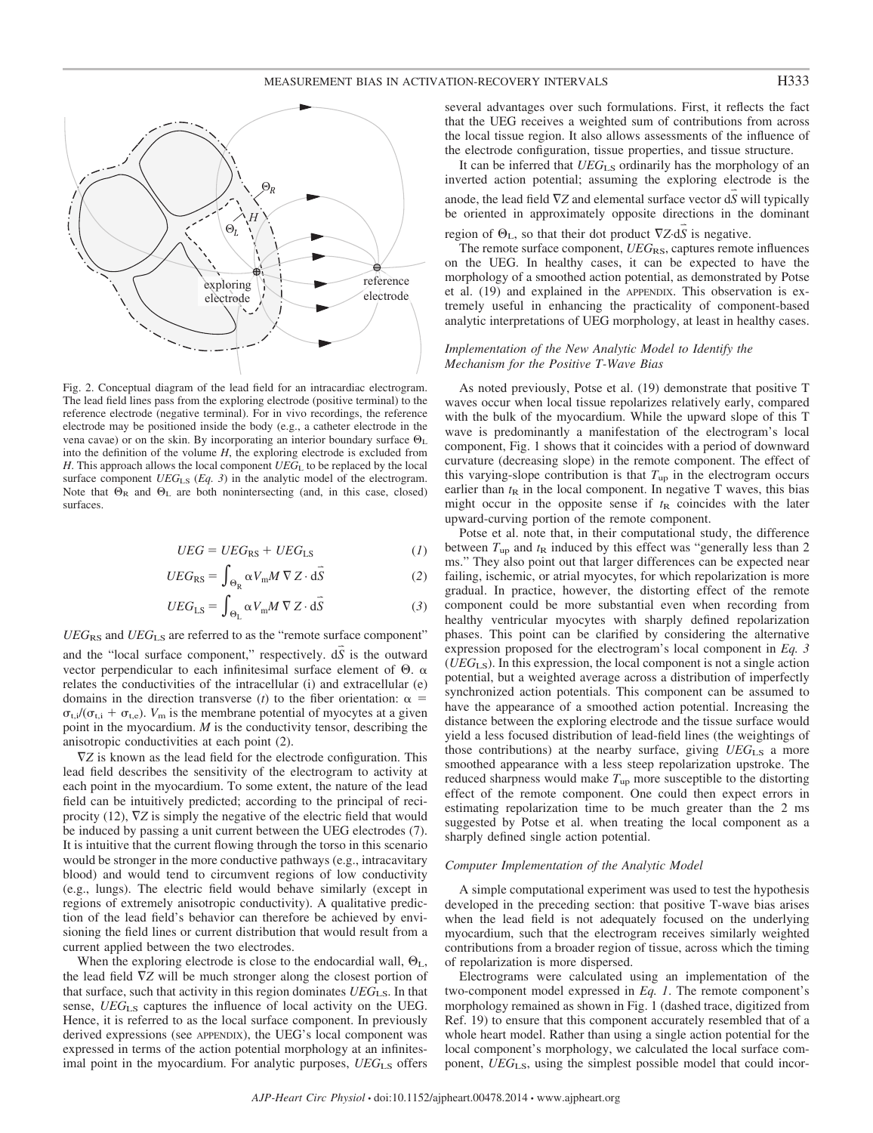

Fig. 2. Conceptual diagram of the lead field for an intracardiac electrogram. The lead field lines pass from the exploring electrode (positive terminal) to the reference electrode (negative terminal). For in vivo recordings, the reference electrode may be positioned inside the body (e.g., a catheter electrode in the vena cavae) or on the skin. By incorporating an interior boundary surface  $\Theta_L$ into the definition of the volume *H*, the exploring electrode is excluded from *H*. This approach allows the local component *UEG*<sub>L</sub> to be replaced by the local surface component *UEG*<sub>LS</sub> (*Eq. 3*) in the analytic model of the electrogram. Note that  $\Theta_R$  and  $\Theta_L$  are both nonintersecting (and, in this case, closed) surfaces.

$$
UEG = UEG_{RS} + UEG_{LS} \tag{1}
$$

$$
UEG_{RS} = \int_{\Theta_R} \alpha V_m M \nabla Z \cdot d\vec{S}
$$
 (2)

$$
UEG_{LS} = \int_{\Theta_{L}} \alpha V_{m} M \nabla Z \cdot d\vec{S}
$$
 (3)

*UEG*RS and *UEG*LS are referred to as the "remote surface component"

and the "local surface component," respectively.  $d\vec{S}$  is the outward vector perpendicular to each infinitesimal surface element of  $\Theta$ .  $\alpha$ relates the conductivities of the intracellular (i) and extracellular (e) domains in the direction transverse (*t*) to the fiber orientation:  $\alpha$  =  $\sigma_{t,i}/(\sigma_{t,i} + \sigma_{t,e})$ . *V*<sub>m</sub> is the membrane potential of myocytes at a given point in the myocardium. *M* is the conductivity tensor, describing the anisotropic conductivities at each point (2).

 $\nabla Z$  is known as the lead field for the electrode configuration. This lead field describes the sensitivity of the electrogram to activity at each point in the myocardium. To some extent, the nature of the lead field can be intuitively predicted; according to the principal of reciprocity (12),  $\nabla Z$  is simply the negative of the electric field that would be induced by passing a unit current between the UEG electrodes (7). It is intuitive that the current flowing through the torso in this scenario would be stronger in the more conductive pathways (e.g., intracavitary blood) and would tend to circumvent regions of low conductivity (e.g., lungs). The electric field would behave similarly (except in regions of extremely anisotropic conductivity). A qualitative prediction of the lead field's behavior can therefore be achieved by envisioning the field lines or current distribution that would result from a current applied between the two electrodes.

When the exploring electrode is close to the endocardial wall,  $\Theta_L$ , the lead field  $\nabla Z$  will be much stronger along the closest portion of that surface, such that activity in this region dominates *UEG*LS. In that sense, *UEG*LS captures the influence of local activity on the UEG. Hence, it is referred to as the local surface component. In previously derived expressions (see APPENDIX), the UEG's local component was expressed in terms of the action potential morphology at an infinitesimal point in the myocardium. For analytic purposes, *UEG*<sub>LS</sub> offers

several advantages over such formulations. First, it reflects the fact that the UEG receives a weighted sum of contributions from across the local tissue region. It also allows assessments of the influence of the electrode configuration, tissue properties, and tissue structure.

It can be inferred that *UEG*<sub>LS</sub> ordinarily has the morphology of an inverted action potential; assuming the exploring electrode is the anode, the lead field  $\nabla Z$  and elemental surface vector  $\vec{dS}$  will typically be oriented in approximately opposite directions in the dominant region of  $\Theta_{L}$ , so that their dot product  $\nabla Z \cdot d\vec{S}$  is negative.

The remote surface component, *UEG*<sub>RS</sub>, captures remote influences on the UEG. In healthy cases, it can be expected to have the morphology of a smoothed action potential, as demonstrated by Potse et al. (19) and explained in the APPENDIX. This observation is extremely useful in enhancing the practicality of component-based analytic interpretations of UEG morphology, at least in healthy cases.

#### *Implementation of the New Analytic Model to Identify the Mechanism for the Positive T-Wave Bias*

As noted previously, Potse et al. (19) demonstrate that positive T waves occur when local tissue repolarizes relatively early, compared with the bulk of the myocardium. While the upward slope of this T wave is predominantly a manifestation of the electrogram's local component, Fig. 1 shows that it coincides with a period of downward curvature (decreasing slope) in the remote component. The effect of this varying-slope contribution is that  $T_{up}$  in the electrogram occurs earlier than  $t<sub>R</sub>$  in the local component. In negative T waves, this bias might occur in the opposite sense if  $t<sub>R</sub>$  coincides with the later upward-curving portion of the remote component.

Potse et al. note that, in their computational study, the difference between  $T_{up}$  and  $t_R$  induced by this effect was "generally less than 2 ms." They also point out that larger differences can be expected near failing, ischemic, or atrial myocytes, for which repolarization is more gradual. In practice, however, the distorting effect of the remote component could be more substantial even when recording from healthy ventricular myocytes with sharply defined repolarization phases. This point can be clarified by considering the alternative expression proposed for the electrogram's local component in *Eq. 3* (*UEG*LS). In this expression, the local component is not a single action potential, but a weighted average across a distribution of imperfectly synchronized action potentials. This component can be assumed to have the appearance of a smoothed action potential. Increasing the distance between the exploring electrode and the tissue surface would yield a less focused distribution of lead-field lines (the weightings of those contributions) at the nearby surface, giving *UEG*LS a more smoothed appearance with a less steep repolarization upstroke. The reduced sharpness would make  $T_{up}$  more susceptible to the distorting effect of the remote component. One could then expect errors in estimating repolarization time to be much greater than the 2 ms suggested by Potse et al. when treating the local component as a sharply defined single action potential.

#### *Computer Implementation of the Analytic Model*

A simple computational experiment was used to test the hypothesis developed in the preceding section: that positive T-wave bias arises when the lead field is not adequately focused on the underlying myocardium, such that the electrogram receives similarly weighted contributions from a broader region of tissue, across which the timing of repolarization is more dispersed.

Electrograms were calculated using an implementation of the two-component model expressed in *Eq. 1*. The remote component's morphology remained as shown in Fig. 1 (dashed trace, digitized from Ref. 19) to ensure that this component accurately resembled that of a whole heart model. Rather than using a single action potential for the local component's morphology, we calculated the local surface component, *UEG*LS, using the simplest possible model that could incor-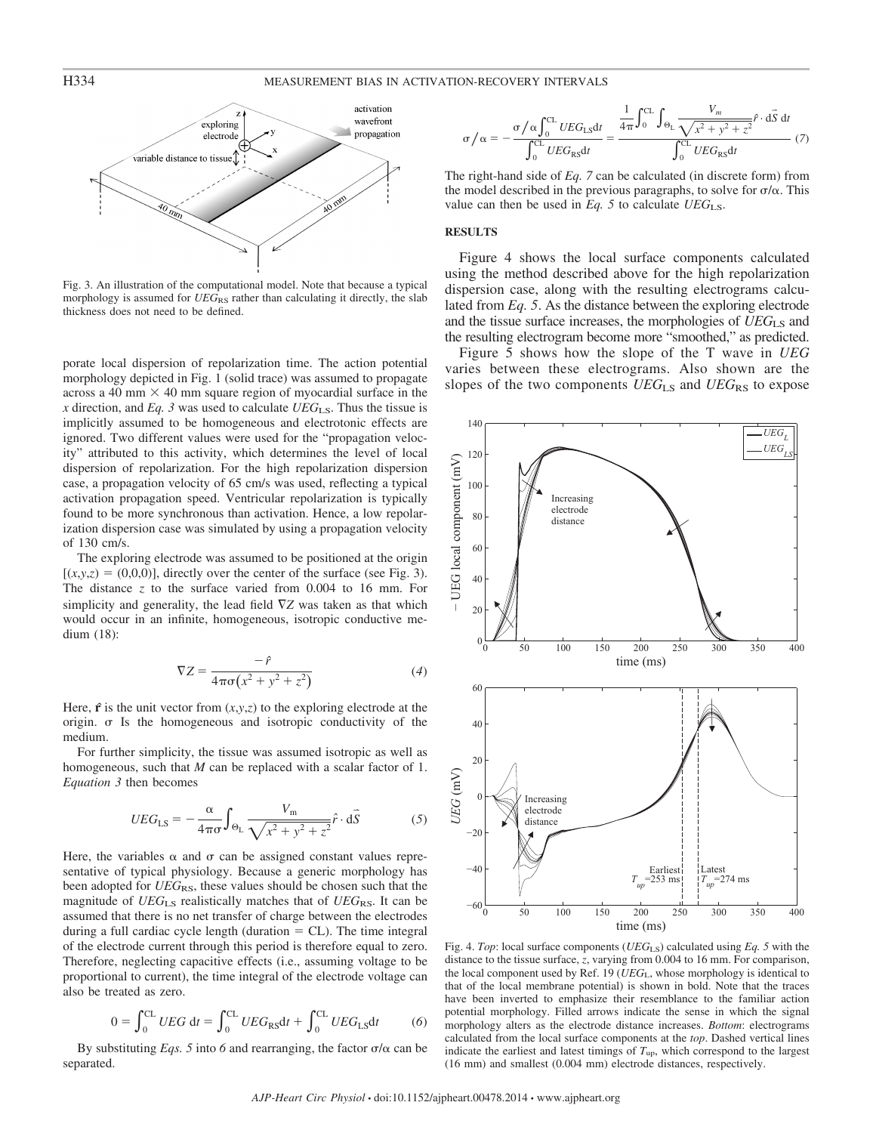

Fig. 3. An illustration of the computational model. Note that because a typical morphology is assumed for *UEG*<sub>RS</sub> rather than calculating it directly, the slab thickness does not need to be defined.

porate local dispersion of repolarization time. The action potential morphology depicted in Fig. 1 (solid trace) was assumed to propagate across a 40 mm  $\times$  40 mm square region of myocardial surface in the *x* direction, and *Eq.* 3 was used to calculate  $UEG_{LS}$ . Thus the tissue is implicitly assumed to be homogeneous and electrotonic effects are ignored. Two different values were used for the "propagation velocity" attributed to this activity, which determines the level of local dispersion of repolarization. For the high repolarization dispersion case, a propagation velocity of 65 cm/s was used, reflecting a typical activation propagation speed. Ventricular repolarization is typically found to be more synchronous than activation. Hence, a low repolarization dispersion case was simulated by using a propagation velocity of 130 cm/s.

The exploring electrode was assumed to be positioned at the origin  $[(x,y,z) = (0,0,0)]$ , directly over the center of the surface (see Fig. 3). The distance *z* to the surface varied from 0.004 to 16 mm. For simplicity and generality, the lead field  $\nabla Z$  was taken as that which would occur in an infinite, homogeneous, isotropic conductive medium (18):

$$
\nabla Z = \frac{-\hat{r}}{4\pi\sigma\left(x^2 + y^2 + z^2\right)}\tag{4}
$$

Here,  $\hat{\bf{r}}$  is the unit vector from  $(x, y, z)$  to the exploring electrode at the origin.  $\sigma$  Is the homogeneous and isotropic conductivity of the medium.

For further simplicity, the tissue was assumed isotropic as well as homogeneous, such that *M* can be replaced with a scalar factor of 1. *Equation 3* then becomes

$$
UEG_{LS} = -\frac{\alpha}{4\pi\sigma} \int_{\Theta_L} \frac{V_m}{\sqrt{x^2 + y^2 + z^2}} \hat{r} \cdot d\hat{S}
$$
 (5)

Here, the variables  $\alpha$  and  $\sigma$  can be assigned constant values representative of typical physiology. Because a generic morphology has been adopted for *UEG*<sub>RS</sub>, these values should be chosen such that the magnitude of *UEG*<sub>LS</sub> realistically matches that of *UEG*<sub>RS</sub>. It can be assumed that there is no net transfer of charge between the electrodes during a full cardiac cycle length (duration  $= CL$ ). The time integral of the electrode current through this period is therefore equal to zero. Therefore, neglecting capacitive effects (i.e., assuming voltage to be proportional to current), the time integral of the electrode voltage can also be treated as zero.

$$
0 = \int_0^{CL} UEG \, dt = \int_0^{CL} UEG_{RS}dt + \int_0^{CL} UEG_{LS}dt \tag{6}
$$

By substituting *Eqs.* 5 into 6 and rearranging, the factor  $\sigma/\alpha$  can be separated.

$$
\sigma/\alpha = -\frac{\sigma/\alpha \int_0^{CL} UEG_{LS}dt}{\int_0^{CL} UEG_{RS}dt} = \frac{\frac{1}{4\pi} \int_0^{CL} \int_{\Theta_L} \frac{V_m}{\sqrt{x^2 + y^2 + z^2}} \hat{f} \cdot d\vec{S} dt}{\int_0^{CL} UEG_{RS}dt} \tag{7}
$$

The right-hand side of *Eq. 7* can be calculated (in discrete form) from the model described in the previous paragraphs, to solve for  $\sigma/\alpha$ . This value can then be used in *Eq. 5* to calculate *UEG*LS.

#### **RESULTS**

Figure 4 shows the local surface components calculated using the method described above for the high repolarization dispersion case, along with the resulting electrograms calculated from *Eq. 5*. As the distance between the exploring electrode and the tissue surface increases, the morphologies of *UEG*<sub>LS</sub> and the resulting electrogram become more "smoothed," as predicted.

Figure 5 shows how the slope of the T wave in *UEG* varies between these electrograms. Also shown are the slopes of the two components *UEG*<sub>LS</sub> and *UEG*<sub>RS</sub> to expose



Fig. 4. *Top*: local surface components (*UEG*LS) calculated using *Eq. 5* with the distance to the tissue surface, *z*, varying from 0.004 to 16 mm. For comparison, the local component used by Ref. 19 (*UEG*L, whose morphology is identical to that of the local membrane potential) is shown in bold. Note that the traces have been inverted to emphasize their resemblance to the familiar action potential morphology. Filled arrows indicate the sense in which the signal morphology alters as the electrode distance increases. *Bottom*: electrograms calculated from the local surface components at the *top*. Dashed vertical lines indicate the earliest and latest timings of *T*up, which correspond to the largest (16 mm) and smallest (0.004 mm) electrode distances, respectively.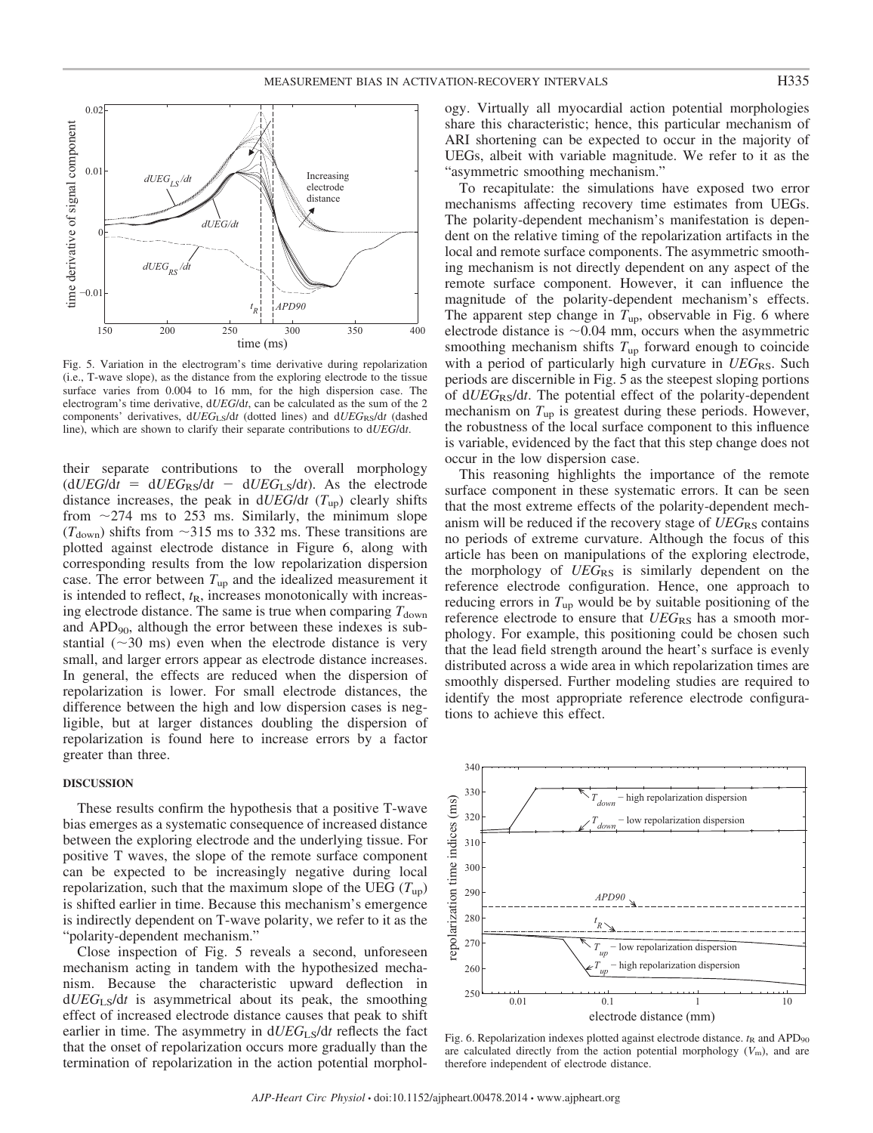

Fig. 5. Variation in the electrogram's time derivative during repolarization (i.e., T-wave slope), as the distance from the exploring electrode to the tissue surface varies from 0.004 to 16 mm, for the high dispersion case. The electrogram's time derivative, d*UEG*/d*t*, can be calculated as the sum of the 2 components' derivatives,  $dUEG<sub>LS</sub>/dt$  (dotted lines) and  $dUEG<sub>RS</sub>/dt$  (dashed line), which are shown to clarify their separate contributions to d*UEG*/d*t*.

their separate contributions to the overall morphology  $(dUEG/dt = dUEG<sub>RS</sub>/dt - dUEG<sub>LS</sub>/dt)$ . As the electrode distance increases, the peak in d*UEG*/d*t* (*T*up) clearly shifts from  $\sim$ 274 ms to 253 ms. Similarly, the minimum slope  $(T_{\text{down}})$  shifts from  $\sim$ 315 ms to 332 ms. These transitions are plotted against electrode distance in Figure 6, along with corresponding results from the low repolarization dispersion case. The error between  $T_{up}$  and the idealized measurement it is intended to reflect,  $t_{\rm R}$ , increases monotonically with increasing electrode distance. The same is true when comparing  $T_{down}$ and APD90, although the error between these indexes is substantial  $(\sim 30 \text{ ms})$  even when the electrode distance is very small, and larger errors appear as electrode distance increases. In general, the effects are reduced when the dispersion of repolarization is lower. For small electrode distances, the difference between the high and low dispersion cases is negligible, but at larger distances doubling the dispersion of repolarization is found here to increase errors by a factor greater than three.

#### **DISCUSSION**

These results confirm the hypothesis that a positive T-wave bias emerges as a systematic consequence of increased distance between the exploring electrode and the underlying tissue. For positive T waves, the slope of the remote surface component can be expected to be increasingly negative during local repolarization, such that the maximum slope of the UEG  $(T_{up})$ is shifted earlier in time. Because this mechanism's emergence is indirectly dependent on T-wave polarity, we refer to it as the "polarity-dependent mechanism."

Close inspection of Fig. 5 reveals a second, unforeseen mechanism acting in tandem with the hypothesized mechanism. Because the characteristic upward deflection in d*UEG*LS/d*t* is asymmetrical about its peak, the smoothing effect of increased electrode distance causes that peak to shift earlier in time. The asymmetry in  $dUEG<sub>LS</sub>/dt$  reflects the fact that the onset of repolarization occurs more gradually than the termination of repolarization in the action potential morphology. Virtually all myocardial action potential morphologies share this characteristic; hence, this particular mechanism of ARI shortening can be expected to occur in the majority of UEGs, albeit with variable magnitude. We refer to it as the "asymmetric smoothing mechanism."

To recapitulate: the simulations have exposed two error mechanisms affecting recovery time estimates from UEGs. The polarity-dependent mechanism's manifestation is dependent on the relative timing of the repolarization artifacts in the local and remote surface components. The asymmetric smoothing mechanism is not directly dependent on any aspect of the remote surface component. However, it can influence the magnitude of the polarity-dependent mechanism's effects. The apparent step change in *T*up, observable in Fig. 6 where electrode distance is  $\sim 0.04$  mm, occurs when the asymmetric smoothing mechanism shifts  $T_{up}$  forward enough to coincide with a period of particularly high curvature in *UEG*RS. Such periods are discernible in Fig. 5 as the steepest sloping portions of d*UEG*RS/d*t*. The potential effect of the polarity-dependent mechanism on  $T_{up}$  is greatest during these periods. However, the robustness of the local surface component to this influence is variable, evidenced by the fact that this step change does not occur in the low dispersion case.

This reasoning highlights the importance of the remote surface component in these systematic errors. It can be seen that the most extreme effects of the polarity-dependent mechanism will be reduced if the recovery stage of *UEG*RS contains no periods of extreme curvature. Although the focus of this article has been on manipulations of the exploring electrode, the morphology of *UEG*<sub>RS</sub> is similarly dependent on the reference electrode configuration. Hence, one approach to reducing errors in  $T_{up}$  would be by suitable positioning of the reference electrode to ensure that *UEG*RS has a smooth morphology. For example, this positioning could be chosen such that the lead field strength around the heart's surface is evenly distributed across a wide area in which repolarization times are smoothly dispersed. Further modeling studies are required to identify the most appropriate reference electrode configurations to achieve this effect.



Fig. 6. Repolarization indexes plotted against electrode distance.  $t<sub>R</sub>$  and APD<sub>90</sub> are calculated directly from the action potential morphology  $(V<sub>m</sub>)$ , and are therefore independent of electrode distance.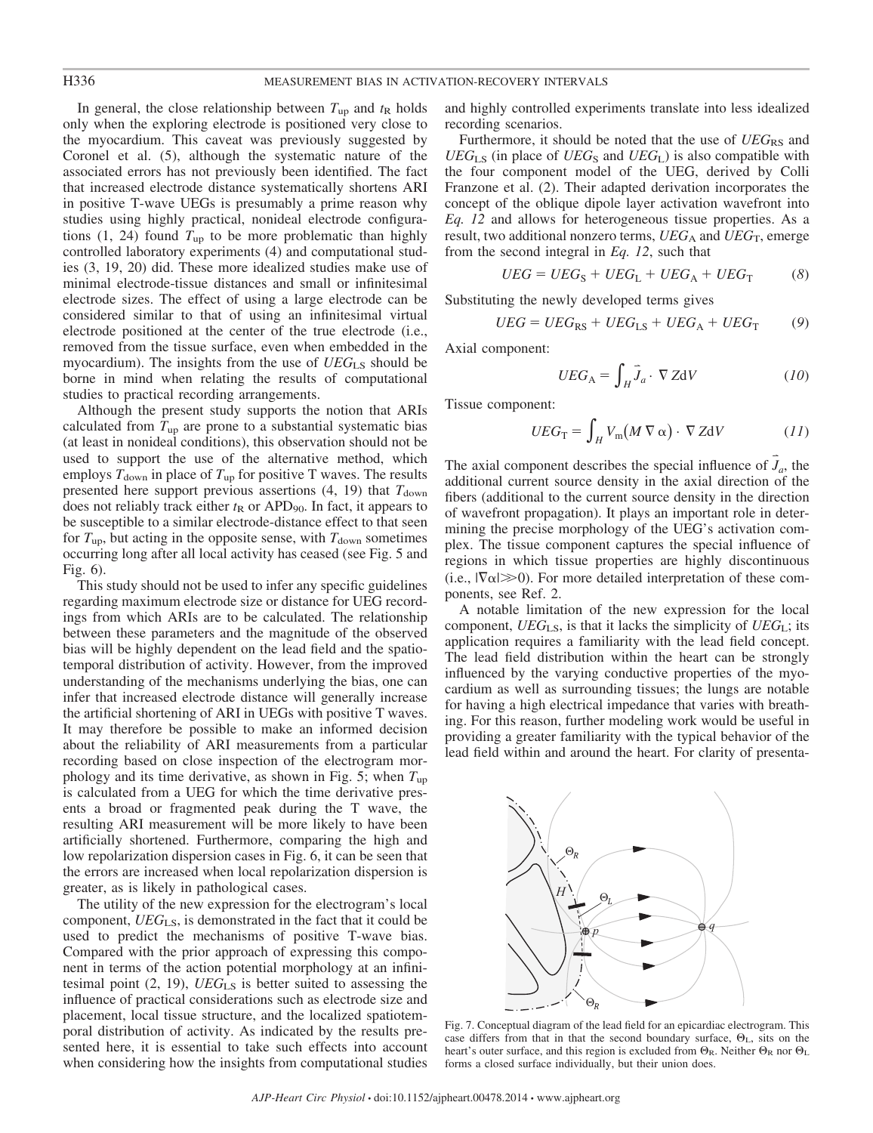In general, the close relationship between  $T_{up}$  and  $t_R$  holds only when the exploring electrode is positioned very close to the myocardium. This caveat was previously suggested by Coronel et al. (5), although the systematic nature of the associated errors has not previously been identified. The fact that increased electrode distance systematically shortens ARI in positive T-wave UEGs is presumably a prime reason why studies using highly practical, nonideal electrode configurations  $(1, 24)$  found  $T_{up}$  to be more problematic than highly controlled laboratory experiments (4) and computational studies (3, 19, 20) did. These more idealized studies make use of minimal electrode-tissue distances and small or infinitesimal electrode sizes. The effect of using a large electrode can be considered similar to that of using an infinitesimal virtual electrode positioned at the center of the true electrode (i.e., removed from the tissue surface, even when embedded in the myocardium). The insights from the use of *UEG*<sub>LS</sub> should be borne in mind when relating the results of computational studies to practical recording arrangements.

Although the present study supports the notion that ARIs calculated from  $T_{up}$  are prone to a substantial systematic bias (at least in nonideal conditions), this observation should not be used to support the use of the alternative method, which employs  $T_{\text{down}}$  in place of  $T_{\text{up}}$  for positive T waves. The results presented here support previous assertions  $(4, 19)$  that  $T_{down}$ does not reliably track either  $t<sub>R</sub>$  or APD<sub>90</sub>. In fact, it appears to be susceptible to a similar electrode-distance effect to that seen for  $T_{\text{up}}$ , but acting in the opposite sense, with  $T_{\text{down}}$  sometimes occurring long after all local activity has ceased (see Fig. 5 and Fig. 6).

This study should not be used to infer any specific guidelines regarding maximum electrode size or distance for UEG recordings from which ARIs are to be calculated. The relationship between these parameters and the magnitude of the observed bias will be highly dependent on the lead field and the spatiotemporal distribution of activity. However, from the improved understanding of the mechanisms underlying the bias, one can infer that increased electrode distance will generally increase the artificial shortening of ARI in UEGs with positive T waves. It may therefore be possible to make an informed decision about the reliability of ARI measurements from a particular recording based on close inspection of the electrogram morphology and its time derivative, as shown in Fig. 5; when *T*up is calculated from a UEG for which the time derivative presents a broad or fragmented peak during the T wave, the resulting ARI measurement will be more likely to have been artificially shortened. Furthermore, comparing the high and low repolarization dispersion cases in Fig. 6, it can be seen that the errors are increased when local repolarization dispersion is greater, as is likely in pathological cases.

The utility of the new expression for the electrogram's local component, *UEG*LS, is demonstrated in the fact that it could be used to predict the mechanisms of positive T-wave bias. Compared with the prior approach of expressing this component in terms of the action potential morphology at an infinitesimal point (2, 19), *UEG*LS is better suited to assessing the influence of practical considerations such as electrode size and placement, local tissue structure, and the localized spatiotemporal distribution of activity. As indicated by the results presented here, it is essential to take such effects into account when considering how the insights from computational studies

and highly controlled experiments translate into less idealized recording scenarios.

Furthermore, it should be noted that the use of *UEG*<sub>RS</sub> and  $UEG<sub>LS</sub>$  (in place of  $UEG<sub>S</sub>$  and  $UEG<sub>L</sub>$ ) is also compatible with the four component model of the UEG, derived by Colli Franzone et al. (2). Their adapted derivation incorporates the concept of the oblique dipole layer activation wavefront into *Eq. 12* and allows for heterogeneous tissue properties. As a result, two additional nonzero terms, *UEG*<sub>A</sub> and *UEG*<sub>T</sub>, emerge from the second integral in *Eq. 12*, such that

$$
UEG = UEGS + UEGL + UEGA + UEGT \t(8)
$$

Substituting the newly developed terms gives

$$
UEG = UEG_{RS} + UEG_{LS} + UEG_A + UEG_T \tag{9}
$$

Axial component:

$$
UEG_{A} = \int_{H} \vec{J}_{a} \cdot \nabla ZdV \qquad (10)
$$

Tissue component:

$$
UEG_{\rm T} = \int_H V_{\rm m}(M \nabla \alpha) \cdot \nabla ZdV \qquad (11)
$$

The axial component describes the special influence of  $\vec{J}_a$ , the additional current source density in the axial direction of the fibers (additional to the current source density in the direction of wavefront propagation). It plays an important role in determining the precise morphology of the UEG's activation complex. The tissue component captures the special influence of regions in which tissue properties are highly discontinuous  $(i.e., |\nabla \alpha| \gg 0)$ . For more detailed interpretation of these components, see Ref. 2.

A notable limitation of the new expression for the local component,  $UEG_{LS}$ , is that it lacks the simplicity of  $UEG_{LS}$ ; its application requires a familiarity with the lead field concept. The lead field distribution within the heart can be strongly influenced by the varying conductive properties of the myocardium as well as surrounding tissues; the lungs are notable for having a high electrical impedance that varies with breathing. For this reason, further modeling work would be useful in providing a greater familiarity with the typical behavior of the lead field within and around the heart. For clarity of presenta-



Fig. 7. Conceptual diagram of the lead field for an epicardiac electrogram. This case differs from that in that the second boundary surface,  $\Theta_{L}$ , sits on the heart's outer surface, and this region is excluded from  $\Theta_R$ . Neither  $\Theta_R$  nor  $\Theta_L$ forms a closed surface individually, but their union does.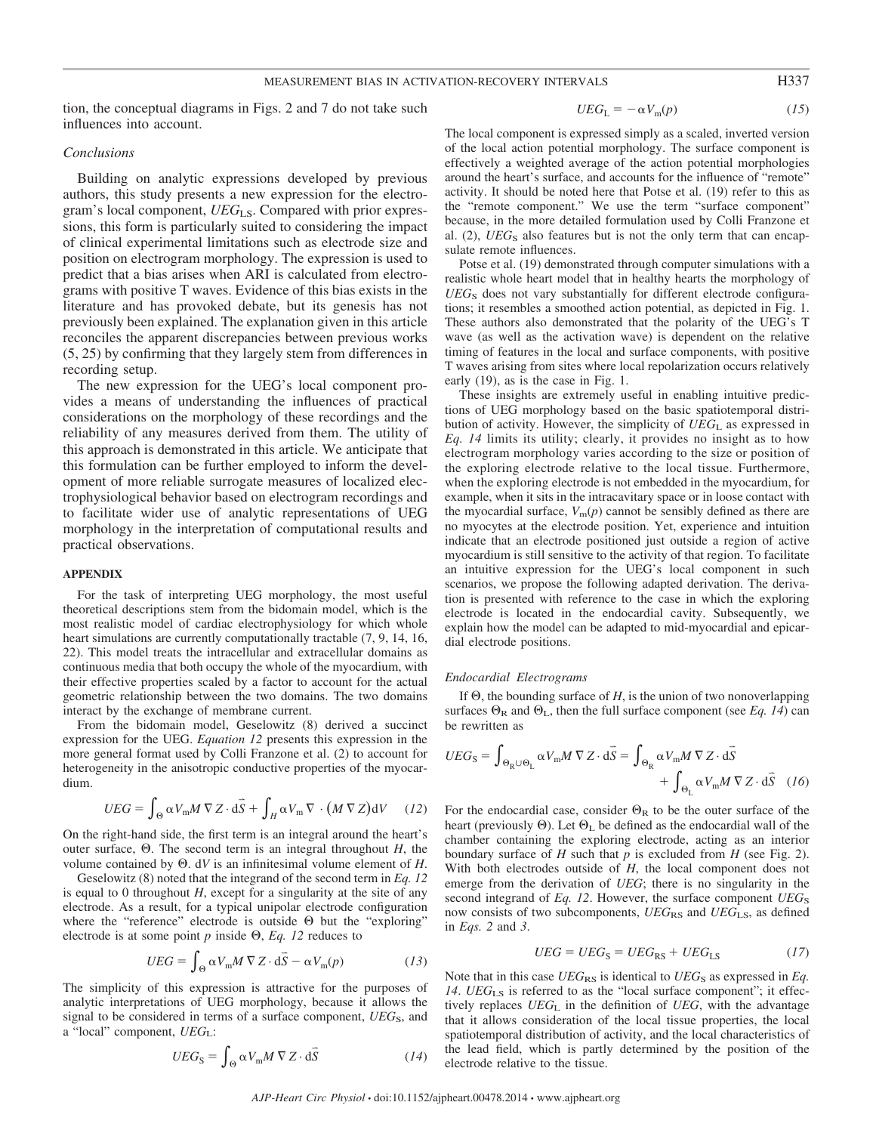tion, the conceptual diagrams in Figs. 2 and 7 do not take such influences into account.

#### *Conclusions*

Building on analytic expressions developed by previous authors, this study presents a new expression for the electrogram's local component, *UEG*LS. Compared with prior expressions, this form is particularly suited to considering the impact of clinical experimental limitations such as electrode size and position on electrogram morphology. The expression is used to predict that a bias arises when ARI is calculated from electrograms with positive T waves. Evidence of this bias exists in the literature and has provoked debate, but its genesis has not previously been explained. The explanation given in this article reconciles the apparent discrepancies between previous works (5, 25) by confirming that they largely stem from differences in recording setup.

The new expression for the UEG's local component provides a means of understanding the influences of practical considerations on the morphology of these recordings and the reliability of any measures derived from them. The utility of this approach is demonstrated in this article. We anticipate that this formulation can be further employed to inform the development of more reliable surrogate measures of localized electrophysiological behavior based on electrogram recordings and to facilitate wider use of analytic representations of UEG morphology in the interpretation of computational results and practical observations.

#### **APPENDIX**

For the task of interpreting UEG morphology, the most useful theoretical descriptions stem from the bidomain model, which is the most realistic model of cardiac electrophysiology for which whole heart simulations are currently computationally tractable (7, 9, 14, 16, 22). This model treats the intracellular and extracellular domains as continuous media that both occupy the whole of the myocardium, with their effective properties scaled by a factor to account for the actual geometric relationship between the two domains. The two domains interact by the exchange of membrane current.

From the bidomain model, Geselowitz (8) derived a succinct expression for the UEG. *Equation 12* presents this expression in the more general format used by Colli Franzone et al. (2) to account for heterogeneity in the anisotropic conductive properties of the myocardium.

$$
UEG = \int_{\Theta} \alpha V_{\rm m} M \, \nabla Z \cdot d\vec{S} + \int_H \alpha V_{\rm m} \, \nabla \cdot (M \, \nabla Z) dV \tag{12}
$$

On the right-hand side, the first term is an integral around the heart's outer surface,  $\Theta$ . The second term is an integral throughout *H*, the volume contained by  $\Theta$ . dV is an infinitesimal volume element of *H*.

Geselowitz (8) noted that the integrand of the second term in *Eq. 12* is equal to 0 throughout  $H$ , except for a singularity at the site of any electrode. As a result, for a typical unipolar electrode configuration where the "reference" electrode is outside  $\Theta$  but the "exploring" electrode is at some point  $p$  inside  $\Theta$ ,  $Eq.$  12 reduces to

$$
UEG = \int_{\Theta} \alpha V_{\rm m} M \nabla Z \cdot d\vec{S} - \alpha V_{\rm m}(p) \qquad (13)
$$

The simplicity of this expression is attractive for the purposes of analytic interpretations of UEG morphology, because it allows the signal to be considered in terms of a surface component, *UEG*<sub>S</sub>, and a "local" component, *UEG*L:

$$
UEG_{\rm S} = \int_{\Theta} \alpha V_{\rm m} M \nabla Z \cdot d\vec{S}
$$
 (14)

$$
UEG_{\rm L} = -\alpha V_{\rm m}(p) \tag{15}
$$

The local component is expressed simply as a scaled, inverted version of the local action potential morphology. The surface component is effectively a weighted average of the action potential morphologies around the heart's surface, and accounts for the influence of "remote" activity. It should be noted here that Potse et al. (19) refer to this as the "remote component." We use the term "surface component" because, in the more detailed formulation used by Colli Franzone et al. (2), *UEG*<sub>S</sub> also features but is not the only term that can encapsulate remote influences.

Potse et al. (19) demonstrated through computer simulations with a realistic whole heart model that in healthy hearts the morphology of UEG<sub>S</sub> does not vary substantially for different electrode configurations; it resembles a smoothed action potential, as depicted in Fig. 1. These authors also demonstrated that the polarity of the UEG's T wave (as well as the activation wave) is dependent on the relative timing of features in the local and surface components, with positive T waves arising from sites where local repolarization occurs relatively early (19), as is the case in Fig. 1.

These insights are extremely useful in enabling intuitive predictions of UEG morphology based on the basic spatiotemporal distribution of activity. However, the simplicity of  $UEG<sub>L</sub>$  as expressed in *Eq. 14* limits its utility; clearly, it provides no insight as to how electrogram morphology varies according to the size or position of the exploring electrode relative to the local tissue. Furthermore, when the exploring electrode is not embedded in the myocardium, for example, when it sits in the intracavitary space or in loose contact with the myocardial surface,  $V_m(p)$  cannot be sensibly defined as there are no myocytes at the electrode position. Yet, experience and intuition indicate that an electrode positioned just outside a region of active myocardium is still sensitive to the activity of that region. To facilitate an intuitive expression for the UEG's local component in such scenarios, we propose the following adapted derivation. The derivation is presented with reference to the case in which the exploring electrode is located in the endocardial cavity. Subsequently, we explain how the model can be adapted to mid-myocardial and epicardial electrode positions.

#### *Endocardial Electrograms*

If  $\Theta$ , the bounding surface of *H*, is the union of two nonoverlapping surfaces  $\Theta_R$  and  $\Theta_L$ , then the full surface component (see *Eq. 14*) can be rewritten as

$$
UEG_{\rm S} = \int_{\Theta_{\rm R} \cup \Theta_{\rm L}} \alpha V_{\rm m} M \nabla Z \cdot d\vec{S} = \int_{\Theta_{\rm R}} \alpha V_{\rm m} M \nabla Z \cdot d\vec{S} + \int_{\Theta_{\rm L}} \alpha V_{\rm m} M \nabla Z \cdot d\vec{S} \quad (16)
$$

For the endocardial case, consider  $\Theta_R$  to be the outer surface of the heart (previously  $\Theta$ ). Let  $\Theta_L$  be defined as the endocardial wall of the chamber containing the exploring electrode, acting as an interior boundary surface of  $H$  such that  $p$  is excluded from  $H$  (see Fig. 2). With both electrodes outside of *H*, the local component does not emerge from the derivation of *UEG*; there is no singularity in the second integrand of *Eq. 12*. However, the surface component *UEG*<sub>S</sub> now consists of two subcomponents, *UEG*<sub>RS</sub> and *UEG*<sub>LS</sub>, as defined in *Eqs. 2* and *3*.

$$
UEG = UEGS = UEGRS + UEGLS
$$
 (17)

Note that in this case  $UEG_{RS}$  is identical to  $UEG_S$  as expressed in *Eq.* 14. *UEG*<sub>LS</sub> is referred to as the "local surface component"; it effectively replaces *UEG*L in the definition of *UEG*, with the advantage that it allows consideration of the local tissue properties, the local spatiotemporal distribution of activity, and the local characteristics of the lead field, which is partly determined by the position of the electrode relative to the tissue.